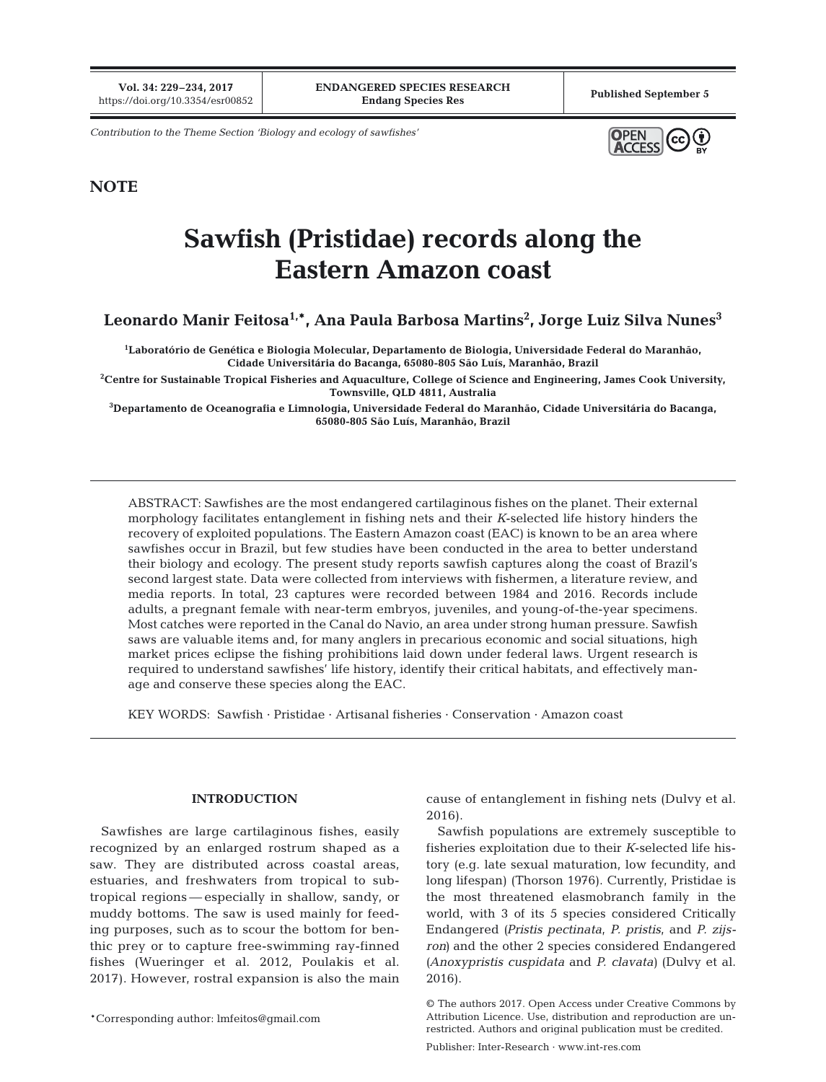**Vol. 34: 229–234, 2017**

*Contribution to the Theme Section 'Biology and ecology of sawfishes'*



### **NOTE**

# **Sawfish (Pristidae) records along the Eastern Amazon coast**

## Leonardo Manir Feitosa<sup>1,</sup>\*, Ana Paula Barbosa Martins<sup>2</sup>, Jorge Luiz Silva Nunes<sup>3</sup>

**1 Laboratório de Genética e Biologia Molecular, Departamento de Biologia, Universidade Federal do Maranhão, Cidade Universitária do Bacanga, 65080-805 São Luís, Maranhão, Brazil**

**2 Centre for Sustainable Tropical Fisheries and Aquaculture, College of Science and Engineering, James Cook University, Townsville, QLD 4811, Australia**

**3 Departamento de Oceanografia e Limnologia, Universidade Federal do Maranhão, Cidade Universitária do Bacanga, 65080-805 São Luís, Maranhão, Brazil**

ABSTRACT: Sawfishes are the most endangered cartilaginous fishes on the planet. Their external morphology facilitates entanglement in fishing nets and their *K*-selected life history hinders the recovery of exploited populations. The Eastern Amazon coast (EAC) is known to be an area where sawfishes occur in Brazil, but few studies have been conducted in the area to better understand their biology and ecology. The present study reports sawfish captures along the coast of Brazil's second largest state. Data were collected from interviews with fishermen, a literature review, and media reports. In total, 23 captures were recorded between 1984 and 2016. Records include adults, a pregnant female with near-term embryos, juveniles, and young-of-the-year specimens. Most catches were reported in the Canal do Navio, an area under strong human pressure. Sawfish saws are valuable items and, for many anglers in precarious economic and social situations, high market prices eclipse the fishing prohibitions laid down under federal laws. Urgent research is required to understand sawfishes' life history, identify their critical habitats, and effectively manage and conserve these species along the EAC.

KEY WORDS: Sawfish · Pristidae · Artisanal fisheries · Conservation · Amazon coast

#### **INTRODUCTION**

Sawfishes are large cartilaginous fishes, easily recognized by an enlarged rostrum shaped as a saw. They are distributed across coastal areas, estuaries, and freshwaters from tropical to subtropical regions — especially in shallow, sandy, or muddy bottoms. The saw is used mainly for feeding purposes, such as to scour the bottom for benthic prey or to capture free-swimming ray-finned fishes (Wueringer et al. 2012, Poulakis et al. 2017). However, rostral expansion is also the main cause of entanglement in fishing nets (Dulvy et al. 2016).

Sawfish populations are extremely susceptible to fisheries exploitation due to their *K*-selected life history (e.g. late sexual maturation, low fecundity, and long lifespan) (Thorson 1976). Currently, Pristidae is the most threatened elasmobranch family in the world, with 3 of its 5 species considered Critically Endangered *(Pristis pectinata*, *P. pristis*, and *P. zijsron)* and the other 2 species considered Endangered *(Anoxypristis cuspidata* and *P. clavata)* (Dulvy et al. 2016).

<sup>©</sup> The authors 2017. Open Access under Creative Commons by Attribution Licence. Use, distribution and reproduction are unrestricted. Authors and original publication must be credited.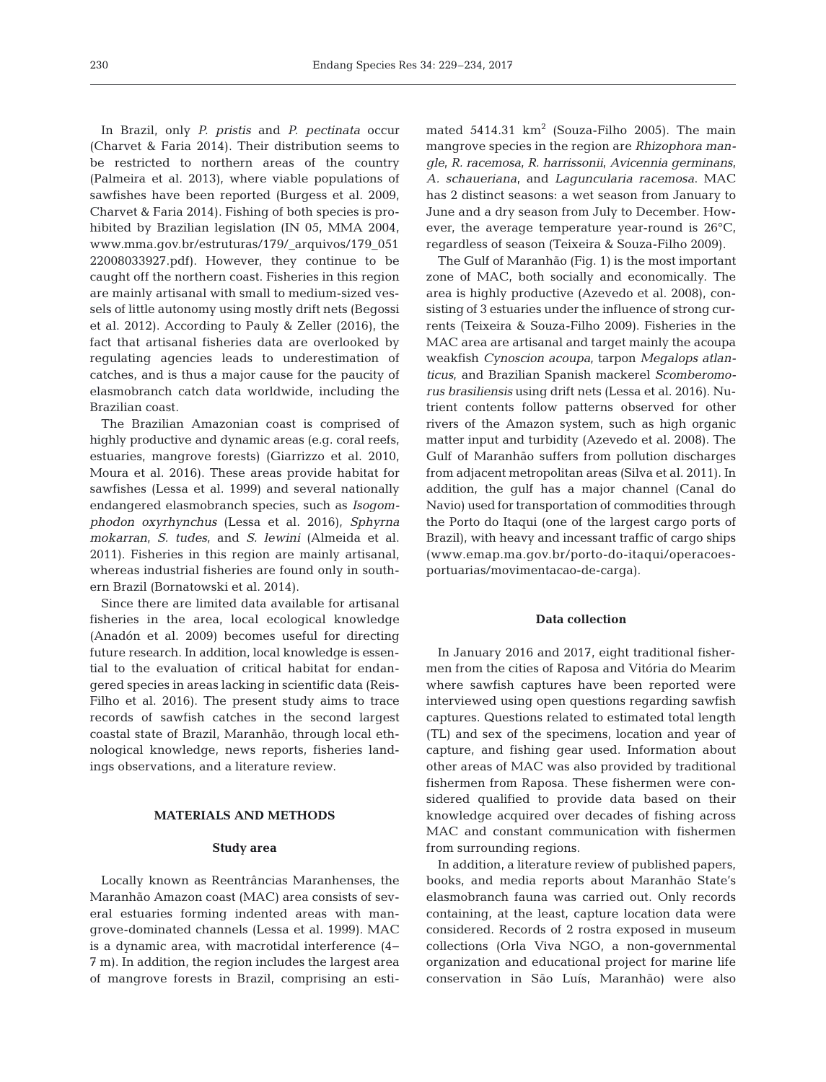In Brazil, only *P. pristis* and *P. pectinata* occur (Charvet & Faria 2014). Their distribution seems to be restricted to northern areas of the country (Palmeira et al. 2013), where viable populations of sawfishes have been reported (Burgess et al. 2009, Charvet & Faria 2014). Fishing of both species is prohibited by Brazilian legislation (IN 05, MMA 2004, www. mma.gov.br/estruturas/179/\_arquivos/179\_ 051 22008033927.pdf). However, they continue to be caught off the northern coast. Fisheries in this region are mainly artisanal with small to medium-sized vessels of little autonomy using mostly drift nets (Begossi et al. 2012). According to Pauly & Zeller (2016), the fact that artisanal fisheries data are overlooked by regulating agencies leads to underestimation of catches, and is thus a major cause for the paucity of elasmobranch catch data worldwide, including the Brazilian coast.

The Brazilian Amazonian coast is comprised of highly productive and dynamic areas (e.g. coral reefs, estuaries, mangrove forests) (Giarrizzo et al. 2010, Moura et al. 2016). These areas provide habitat for sawfishes (Lessa et al. 1999) and several nationally endangered elasmobranch species, such as *Isogomphodon oxyrhynchus* (Lessa et al. 2016), *Sphyrna mokarran*, *S. tudes*, and *S. lewini* (Almeida et al. 2011). Fisheries in this region are mainly artisanal, whereas industrial fisheries are found only in southern Brazil (Bornatowski et al. 2014).

Since there are limited data available for artisanal fisheries in the area, local ecological knowledge (Anadón et al. 2009) becomes useful for directing future research. In addition, local knowledge is essential to the evaluation of critical habitat for endangered species in areas lacking in scientific data (Reis-Filho et al. 2016). The present study aims to trace records of sawfish catches in the second largest coastal state of Brazil, Maranhão, through local ethnological knowledge, news reports, fisheries landings observations, and a literature review.

#### **MATERIALS AND METHODS**

#### **Study area**

Locally known as Reentrâncias Maranhenses, the Maranhão Amazon coast (MAC) area consists of several estuaries forming indented areas with mangrove-dominated channels (Lessa et al. 1999). MAC is a dynamic area, with macrotidal interference (4− 7 m). In addition, the region includes the largest area of mangrove forests in Brazil, comprising an estimated 5414.31  $km^2$  (Souza-Filho 2005). The main mangrove species in the region are *Rhizophora mangle*, *R. racemosa*, *R. harrissonii*, *Avicennia germinans*, *A. schaueriana*, and *Laguncularia racemosa*. MAC has 2 distinct seasons: a wet season from January to June and a dry season from July to December. However, the average temperature year-round is 26°C, regardless of season (Teixeira & Souza-Filho 2009).

The Gulf of Maranhão (Fig. 1) is the most important zone of MAC, both socially and economically. The area is highly productive (Azevedo et al. 2008), consisting of 3 estuaries under the influence of strong currents (Teixeira & Souza-Filho 2009). Fisheries in the MAC area are artisanal and target mainly the acoupa weakfish *Cynoscion acoupa*, tarpon *Megalops atlan ticus*, and Brazilian Spanish mackerel *Scom beromo rus brasiliensis* using drift nets (Lessa et al. 2016). Nutrient contents follow patterns observed for other rivers of the Amazon system, such as high organic matter input and turbidity (Azevedo et al. 2008). The Gulf of Maranhão suffers from pollution discharges from adjacent metropolitan areas (Silva et al. 2011). In addition, the gulf has a major channel (Canal do Navio) used for transportation of commodities through the Porto do Itaqui (one of the largest cargo ports of Brazil), with heavy and incessant traffic of cargo ships (www. emap. ma. gov. br/ porto-do-itaqui/ operacoesportuarias/movimenta cao-de-carga).

#### **Data collection**

In January 2016 and 2017, eight traditional fishermen from the cities of Raposa and Vitória do Mearim where sawfish captures have been reported were interviewed using open questions regarding sawfish captures. Questions related to estimated total length (TL) and sex of the specimens, location and year of capture, and fishing gear used. Information about other areas of MAC was also provided by traditional fishermen from Raposa. These fishermen were considered qualified to provide data based on their knowledge acquired over decades of fishing across MAC and constant communication with fishermen from surrounding regions.

In addition, a literature review of published papers, books, and media reports about Maranhão State's elasmobranch fauna was carried out. Only records containing, at the least, capture location data were considered. Records of 2 rostra exposed in museum collections (Orla Viva NGO, a non-governmental organization and educational project for marine life conservation in São Luís, Maranhão) were also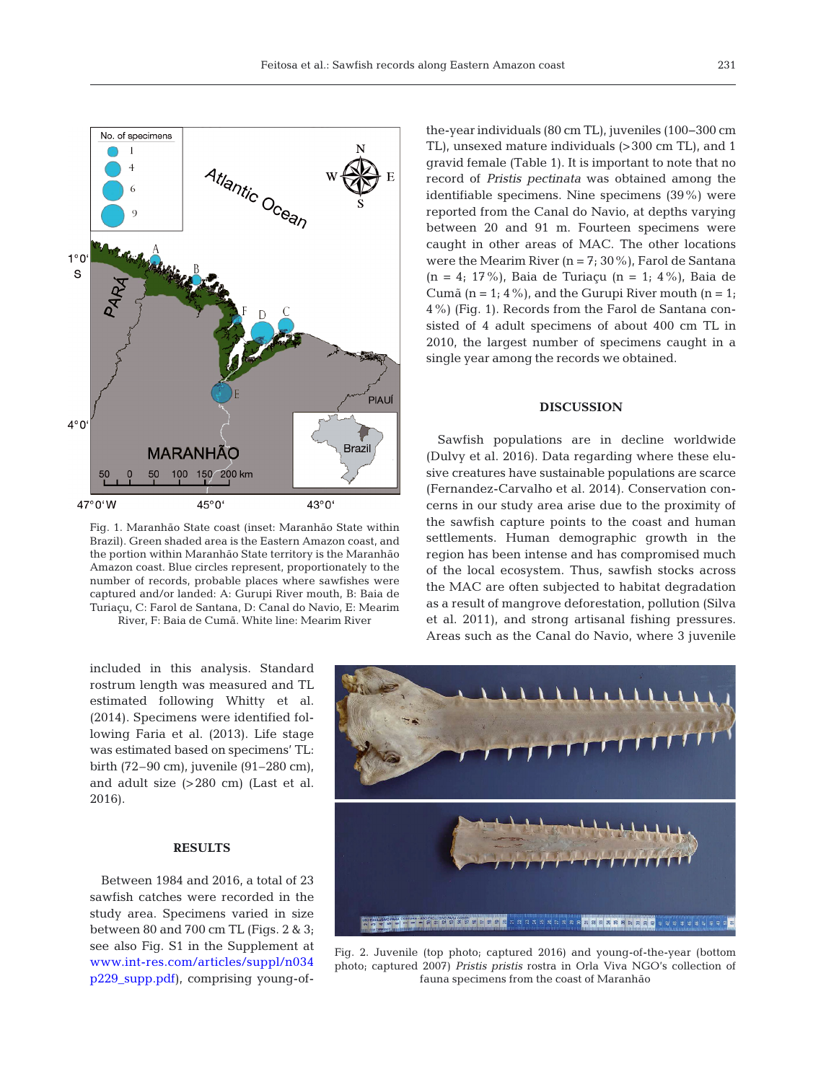

Fig. 1. Maranhão State coast (inset: Maranhão State within Brazil). Green shaded area is the Eastern Amazon coast, and the portion within Maranhão State territory is the Maranhão Amazon coast. Blue circles represent, proportionately to the number of records, probable places where sawfishes were captured and/or landed: A: Gurupi River mouth, B: Baia de Turiaçu, C: Farol de Santana, D: Canal do Navio, E: Mearim River, F: Baia de Cumã. White line: Mearim River

included in this analysis. Standard rostrum length was measured and TL estimated following Whitty et al. (2014). Specimens were identified following Faria et al. (2013). Life stage was estimated based on specimens' TL: birth (72–90 cm), juvenile (91–280 cm), and adult size (>280 cm) (Last et al. 2016).

#### **RESULTS**

Between 1984 and 2016, a total of 23 sawfish catches were recorded in the study area. Specimens varied in size between 80 and 700 cm TL (Figs. 2 & 3; see also Fig. S1 in the Supplement at www.int-res.com/articles/suppl/n034 [p229 \\_ supp. pdf](http://www.int-res.com/articles/suppl/n034p229_supp.pdf)), comprising young-ofthe-year individuals (80 cm TL), juveniles (100−300 cm TL), unsexed mature individuals (>300 cm TL), and 1 gravid female (Table 1). It is important to note that no record of *Pristis pectinata* was obtained among the identifiable specimens. Nine specimens (39%) were reported from the Canal do Navio, at depths varying between 20 and 91 m. Fourteen specimens were caught in other areas of MAC. The other locations were the Mearim River  $(n = 7, 30\%)$ , Farol de Santana (n = 4; 17%), Baia de Turiaçu (n = 1; 4%), Baia de Cumã (n = 1; 4%), and the Gurupi River mouth (n = 1; 4%) (Fig. 1). Records from the Farol de Santana consisted of 4 adult specimens of about 400 cm TL in 2010, the largest number of specimens caught in a single year among the records we obtained.

#### **DISCUSSION**

Sawfish populations are in decline worldwide (Dulvy et al. 2016). Data regarding where these elusive creatures have sustainable populations are scarce (Fernandez-Carvalho et al. 2014). Conservation concerns in our study area arise due to the proximity of the sawfish capture points to the coast and human settlements. Human demographic growth in the region has been intense and has compromised much of the local ecosystem. Thus, sawfish stocks across the MAC are often subjected to habitat degradation as a result of mangrove deforestation, pollution (Silva et al. 2011), and strong artisanal fishing pressures. Areas such as the Canal do Navio, where 3 juvenile



Fig. 2. Juvenile (top photo; captured 2016) and young-of-the-year (bottom photo; captured 2007) *Pristis pristis* rostra in Orla Viva NGO's collection of fauna specimens from the coast of Maranhão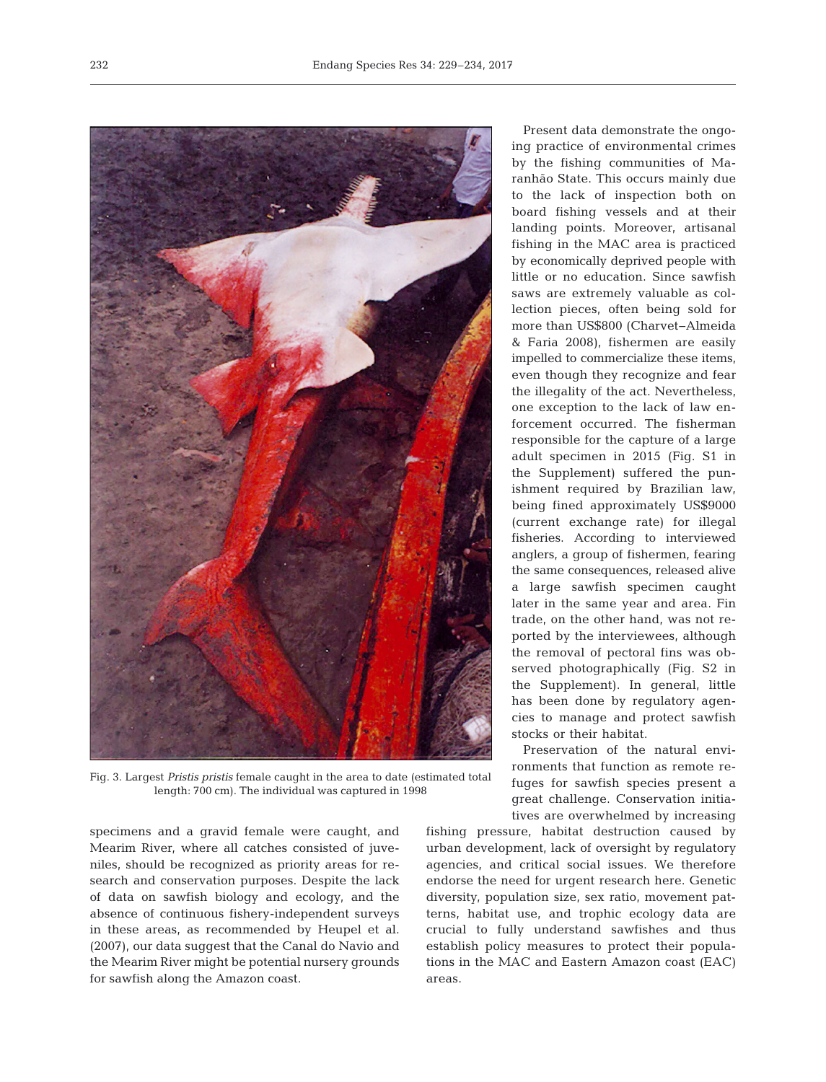

Fig. 3. Largest *Pristis pristis* female caught in the area to date (estimated total length: 700 cm). The individual was captured in 1998

specimens and a gravid female were caught, and Mearim River, where all catches consisted of juveniles, should be recognized as priority areas for re search and conservation purposes. Despite the lack of data on sawfish biology and ecology, and the absence of continuous fishery-independent surveys in these areas, as recommended by Heupel et al. (2007), our data suggest that the Canal do Navio and the Mearim River might be potential nursery grounds for sawfish along the Amazon coast.

Present data demonstrate the ongoing practice of environmental crimes by the fishing communities of Maran hão State. This occurs mainly due to the lack of inspection both on board fishing vessels and at their landing points. Moreover, artisanal fishing in the MAC area is practiced by economically deprived people with little or no education. Since sawfish saws are extremely valuable as collection pieces, often being sold for more than US\$800 (Charvet− Almeida & Faria 2008), fishermen are easily impelled to commercialize these items, even though they recognize and fear the illegality of the act. Nevertheless, one exception to the lack of law enforcement occurred. The fisherman responsible for the capture of a large adult specimen in 2015 (Fig. S1 in the Supplement) suffered the punishment required by Brazilian law, being fined approximately US\$9000 (current exchange rate) for illegal fisheries. Ac cording to interviewed anglers, a group of fishermen, fearing the same consequences, released alive a large sawfish specimen caught later in the same year and area. Fin trade, on the other hand, was not re ported by the interviewees, although the removal of pectoral fins was ob served photographically (Fig. S2 in the Supplement). In general, little has been done by regulatory agencies to manage and protect sawfish stocks or their habitat.

Preservation of the natural environments that function as remote re fuges for sawfish species present a great challenge. Conservation initiatives are overwhelmed by increasing

fishing pressure, habitat destruction caused by urban development, lack of oversight by regulatory agencies, and critical social issues. We therefore endorse the need for urgent research here. Genetic diversity, population size, sex ratio, movement patterns, habitat use, and trophic ecology data are crucial to fully understand sawfishes and thus establish policy measures to protect their populations in the MAC and Eastern Amazon coast (EAC) areas.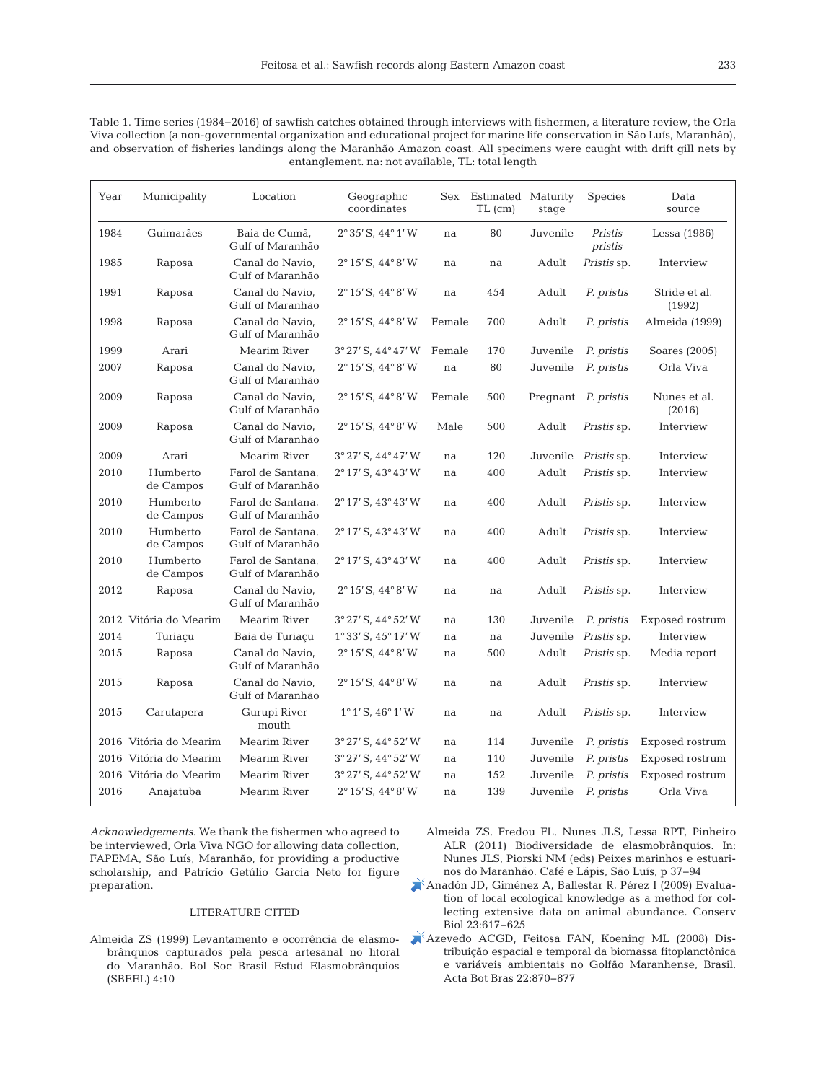| Table 1. Time series (1984–2016) of sawfish catches obtained through interviews with fishermen, a literature review, the Orla |
|-------------------------------------------------------------------------------------------------------------------------------|
| Viva collection (a non-governmental organization and educational project for marine life conservation in São Luís, Maranhão), |
| and observation of fisheries landings along the Maranhão Amazon coast. All specimens were caught with drift gill nets by      |
| entanglement, na: not available, TL: total length                                                                             |

| Year | Municipality           | Location                              | Geographic<br>coordinates              | <b>Sex</b> | Estimated Maturity<br>$TL$ (cm) | stage               | <b>Species</b>     | Data<br>source          |
|------|------------------------|---------------------------------------|----------------------------------------|------------|---------------------------------|---------------------|--------------------|-------------------------|
| 1984 | Guimarães              | Baia de Cumã,<br>Gulf of Maranhão     | $2°35'$ S, $44°1'$ W                   | na         | 80                              | Juvenile            | Pristis<br>pristis | Lessa (1986)            |
| 1985 | Raposa                 | Canal do Navio,<br>Gulf of Maranhão   | $2^{\circ}$ 15' S, 44 $^{\circ}$ 8' W  | na         | na                              | Adult               | <i>Pristis</i> sp. | Interview               |
| 1991 | Raposa                 | Canal do Navio,<br>Gulf of Maranhão   | $2^{\circ}$ 15' S, 44 $^{\circ}$ 8' W  | na         | 454                             | Adult               | P. pristis         | Stride et al.<br>(1992) |
| 1998 | Raposa                 | Canal do Navio,<br>Gulf of Maranhão   | $2^{\circ}$ 15' S, 44 $^{\circ}$ 8' W  | Female     | 700                             | Adult               | P. pristis         | Almeida (1999)          |
| 1999 | Arari                  | Mearim River                          | $3°27'$ S, $44°47'$ W                  | Female     | 170                             | Juvenile            | P. pristis         | Soares (2005)           |
| 2007 | Raposa                 | Canal do Navio,<br>Gulf of Maranhão   | $2^{\circ}$ 15' S, 44 $^{\circ}$ 8' W  | na         | 80                              | Juvenile            | P. pristis         | Orla Viva               |
| 2009 | Raposa                 | Canal do Navio,<br>Gulf of Maranhão   | $2^{\circ}$ 15' S, 44 $^{\circ}$ 8' W  | Female     | 500                             | Pregnant P. pristis |                    | Nunes et al.<br>(2016)  |
| 2009 | Raposa                 | Canal do Navio,<br>Gulf of Maranhão   | $2^{\circ}$ 15' S, 44 $^{\circ}$ 8' W  | Male       | 500                             | Adult               | <i>Pristis</i> sp. | Interview               |
| 2009 | Arari                  | Mearim River                          | $3°27'$ S, $44°47'$ W                  | na         | 120                             | Juvenile            | Pristis sp.        | Interview               |
| 2010 | Humberto<br>de Campos  | Farol de Santana,<br>Gulf of Maranhão | $2^{\circ}$ 17' S, 43° 43' W           | na         | 400                             | Adult               | <i>Pristis</i> sp. | Interview               |
| 2010 | Humberto<br>de Campos  | Farol de Santana,<br>Gulf of Maranhão | $2^{\circ}$ 17' S, 43° 43' W           | na         | 400                             | Adult               | <i>Pristis</i> sp. | Interview               |
| 2010 | Humberto<br>de Campos  | Farol de Santana,<br>Gulf of Maranhão | $2^{\circ}$ 17' S, 43 $^{\circ}$ 43' W | na         | 400                             | Adult               | Pristis sp.        | Interview               |
| 2010 | Humberto<br>de Campos  | Farol de Santana,<br>Gulf of Maranhão | $2^{\circ}$ 17' S, 43° 43' W           | na         | 400                             | Adult               | <i>Pristis</i> sp. | Interview               |
| 2012 | Raposa                 | Canal do Navio,<br>Gulf of Maranhão   | $2^{\circ}$ 15' S, 44 $^{\circ}$ 8' W  | na         | na                              | Adult               | Pristis sp.        | Interview               |
|      | 2012 Vitória do Mearim | Mearim River                          | $3^{\circ}27'$ S, $44^{\circ}52'$ W    | na         | 130                             | Juvenile            | P. pristis         | Exposed rostrum         |
| 2014 | Turiaçu                | Baia de Turiaçu                       | $1^{\circ}33'$ S, $45^{\circ}17'$ W    | na         | na                              | Juvenile            | <i>Pristis</i> sp. | Interview               |
| 2015 | Raposa                 | Canal do Navio,<br>Gulf of Maranhão   | $2^{\circ}$ 15' S, 44 $^{\circ}$ 8' W  | na         | 500                             | Adult               | Pristis sp.        | Media report            |
| 2015 | Raposa                 | Canal do Navio,<br>Gulf of Maranhão   | $2^{\circ}$ 15' S, 44 $^{\circ}$ 8' W  | na         | na                              | Adult               | Pristis sp.        | Interview               |
| 2015 | Carutapera             | Gurupi River<br>mouth                 | $1^{\circ}1'$ S, $46^{\circ}1'$ W      | na         | na                              | Adult               | Pristis sp.        | Interview               |
|      | 2016 Vitória do Mearim | Mearim River                          | $3°27'$ S, $44°52'$ W                  | na         | 114                             | Juvenile            | P. pristis         | Exposed rostrum         |
|      | 2016 Vitória do Mearim | Mearim River                          | $3°27'$ S, $44°52'$ W                  | na         | 110                             | Juvenile            | P. pristis         | Exposed rostrum         |
|      | 2016 Vitória do Mearim | Mearim River                          | 3° 27' S, 44° 52' W                    | na         | 152                             | Juvenile            | P. pristis         | Exposed rostrum         |
| 2016 | Anajatuba              | Mearim River                          | $2^{\circ}$ 15' S, 44 $^{\circ}$ 8' W  | na         | 139                             | Juvenile            | P. pristis         | Orla Viva               |

*Acknowledgements*. We thank the fishermen who agreed to be interviewed, Orla Viva NGO for allowing data collection, FAPEMA, São Luís, Maranhão, for providing a productive scholarship, and Patrício Getúlio Garcia Neto for figure preparation.

#### LITERATURE CITED

- Almeida ZS (1999) Levantamento e ocorrência de elasmobrânquios capturados pela pesca artesanal no litoral do Maranhão. Bol Soc Brasil Estud Elasmobrânquios (SBEEL) 4: 10
- Almeida ZS, Fredou FL, Nunes JLS, Lessa RPT, Pinheiro ALR (2011) Biodiversidade de elasmobrânquios. In: Nunes JLS, Piorski NM (eds) Peixes marinhos e estuarinos do Maranhão. Café e Lápis, São Luís, p 37−94
- [Anadón JD, Giménez A, Ballestar R, Pérez I \(2009\) Evalua](https://doi.org/10.1111/j.1523-1739.2008.01145.x)tion of local ecological knowledge as a method for collecting extensive data on animal abundance. Conserv Biol 23:617-625
- [Azevedo ACGD, Feitosa FAN, Koening ML \(2008\) Dis](https://doi.org/10.1590/S0102-33062008000300022)tribuição espacial e temporal da biomassa fitoplanctônica e variáveis ambientais no Golfão Maranhense, Brasil. Acta Bot Bras 22: 870−877